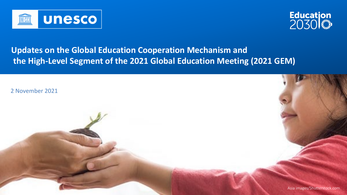

## **Updates on the Global Education Cooperation Mechanism and the High-Level Segment of the 2021 Global Education Meeting (2021 GEM)**

Asia images/Shutterstock.com

2 November 2021





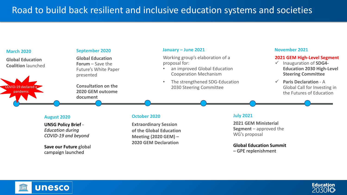# Road to build back resilient and inclusive education systems and societies

#### **August 2020**

**UNSG Policy Brief** - *Education during COVID-19 and beyond*

**Save our Future** global campaign launched

#### **March 2020**

**Global Education Coalition** launched

#### **September 2020**

**Global Education Forum** – Save the Future's White Paper presented

- an improved Global Education Cooperation Mechanism
- The strengthened SDG-Education 2030 Steering Committee

**Consultation on the 2020 GEM outcome document**

#### **October 2020**

 $Q$ VID-19 declared pandemic

> **Extraordinary Session of the Global Education Meeting (2020 GEM) – 2020 GEM Declaration**



#### **January – June 2021**

Working group's elaboration of a proposal for:

#### **July 2021**

**2021 GEM Ministerial Segment** – approved the WG's proposal

#### **Global Education Summit**

– GPE replenishment



#### **November 2021**

#### **2021 GEM High-Level Segment**

- Inauguration of **SDG4- Education 2030 High-Level Steering Committee**
- **Paris Declaration**  A Global Call for Investing in the Futures of Education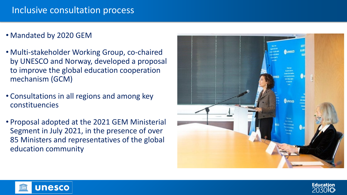## Inclusive consultation process

• Mandated by 2020 GEM

**UNESCO** 

- Multi-stakeholder Working Group, co-chaired by UNESCO and Norway, developed a proposal to improve the global education cooperation mechanism (GCM)
- Consultations in all regions and among key constituencies
- Proposal adopted at the 2021 GEM Ministerial Segment in July 2021, in the presence of over 85 Ministers and representatives of the global education community



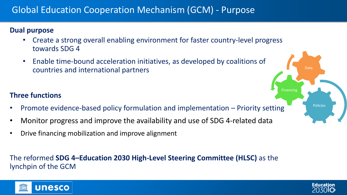# Global Education Cooperation Mechanism (GCM) - Purpose

## **Dual purpose**

- Create a strong overall enabling environment for faster country-level progress towards SDG 4
- Enable time-bound acceleration initiatives, as developed by coalitions of countries and international partners

## **Three functions**

- Promote evidence-based policy formulation and implementation Priority setting
- Monitor progress and improve the availability and use of SDG 4-related data
- Drive financing mobilization and improve alignment

## The reformed **SDG 4–Education 2030 High-Level Steering Committee (HLSC)** as the lynchpin of the GCM





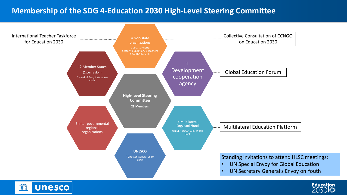## **Membership of the SDG 4-Education 2030 High-Level Steering Committee**

Collective Consultation of CCNGO on Education 2030



Global Education Forum

## Multilateral Education Platform

Standing invitations to attend HLSC meetings:

- UN Special Envoy for Global Education
- UN Secretary General's Envoy on Youth

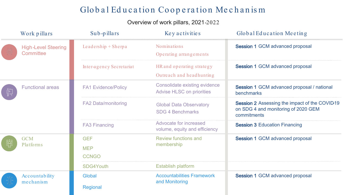## Global Education Cooperation Mechanism

## Overview of work pillars, 2021-2022

Session 1 GCM advanced proposal / national benchmarks

Session 2 Assessing the impact of the COVID19 on SDG 4 and monitoring of 2020 GEM commitments

**Session 3 Education Financing** 

Session 1 GCM advanced proposal

Session 1 GCM advanced proposal

| Work pillars                            | Sub-pillars                              | Key activities                                                           |
|-----------------------------------------|------------------------------------------|--------------------------------------------------------------------------|
| <b>High-Level Steering</b><br>Committee | Leadership $+$ Sherpa                    | Nominations<br>Operating arrangements                                    |
|                                         | Inter-agency Secretariat                 | HR and operating strategy<br>Outreach and headhunting                    |
| <b>Functional areas</b>                 | <b>FA1 Evidence/Policy</b>               | <b>Consolidate existing evidence</b><br><b>Advise HLSC on priorities</b> |
|                                         | <b>FA2 Data/monitoring</b>               | <b>Global Data Observatory</b><br><b>SDG 4 Benchmarks</b>                |
|                                         | <b>FA3 Financing</b>                     | Advocate for increased<br>volume, equity and efficiency                  |
| <b>GCM</b><br>Platforms                 | <b>GEF</b><br><b>MEP</b><br><b>CCNGO</b> | <b>Review functions and</b><br>membership                                |
|                                         | <b>SDG4Youth</b>                         | <b>Establish platform</b>                                                |
| Accountability<br>mechanism             | <b>Global</b><br><b>Regional</b>         | <b>Accountabilities Framework</b><br>and Monitoring                      |

## Global Education Meeting

Session 1 GCM advanced proposal

Session 1 GCM advanced proposal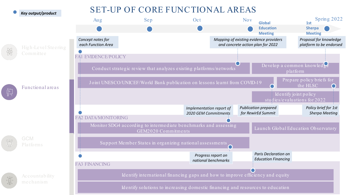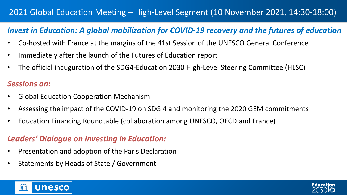## 2021 Global Education Meeting – High-Level Segment (10 November 2021, 14:30-18:00)

## *Invest in Education: A global mobilization for COVID-19 recovery and the futures of education*

- Co-hosted with France at the margins of the 41st Session of the UNESCO General Conference
- Immediately after the launch of the Futures of Education report
- The official inauguration of the SDG4-Education 2030 High-Level Steering Committee (HLSC)

- Presentation and adoption of the Paris Declaration
- Statements by Heads of State / Government

#### **UNESCO** THESCO



## *Sessions on:*

- Global Education Cooperation Mechanism
- Assessing the impact of the COVID-19 on SDG 4 and monitoring the 2020 GEM commitments
- Education Financing Roundtable (collaboration among UNESCO, OECD and France)

## *Leaders' Dialogue on Investing in Education:*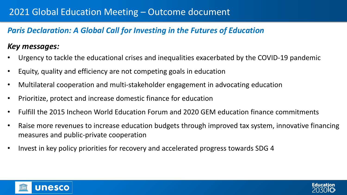## 2021 Global Education Meeting – Outcome document

## *Paris Declaration: A Global Call for Investing in the Futures of Education*

## *Key messages:*

- Urgency to tackle the educational crises and inequalities exacerbated by the COVID-19 pandemic
- Equity, quality and efficiency are not competing goals in education
- Multilateral cooperation and multi-stakeholder engagement in advocating education
- Prioritize, protect and increase domestic finance for education
- Fulfill the 2015 Incheon World Education Forum and 2020 GEM education finance commitments
- Raise more revenues to increase education budgets through improved tax system, innovative financing measures and public-private cooperation
- Invest in key policy priorities for recovery and accelerated progress towards SDG 4

#### **Unesco** THESSI

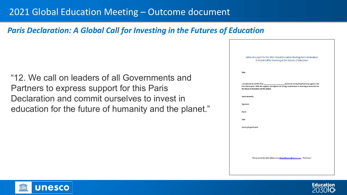## 2021 Global Education Meeting – Outcome document

*Paris Declaration: A Global Call for Investing in the Futures of Education*

"12. We call on leaders of all Governments and Partners to express support for this Paris Declaration and commit ourselves to invest in education for the future of humanity and the planet."



|                  | Letter of support for the 2021 Global Education Meeting Paris Declaration:<br>A Global Call for Investing in the Futures of Education          |
|------------------|------------------------------------------------------------------------------------------------------------------------------------------------|
| Date             |                                                                                                                                                |
|                  | Paris Declaration. With this support, we express our strong commitment to investing in education for<br>the future of humanity and the planet. |
|                  | <b>Yours sincerely,</b>                                                                                                                        |
| <b>Signature</b> |                                                                                                                                                |
| <b>Name</b>      |                                                                                                                                                |
| <b>Title</b>     |                                                                                                                                                |
|                  | Country/organization                                                                                                                           |
|                  |                                                                                                                                                |
|                  |                                                                                                                                                |
|                  |                                                                                                                                                |
|                  | Please email this letter filled out to GlobalMeeting@unesco.org - Thank you!                                                                   |
|                  |                                                                                                                                                |
|                  |                                                                                                                                                |